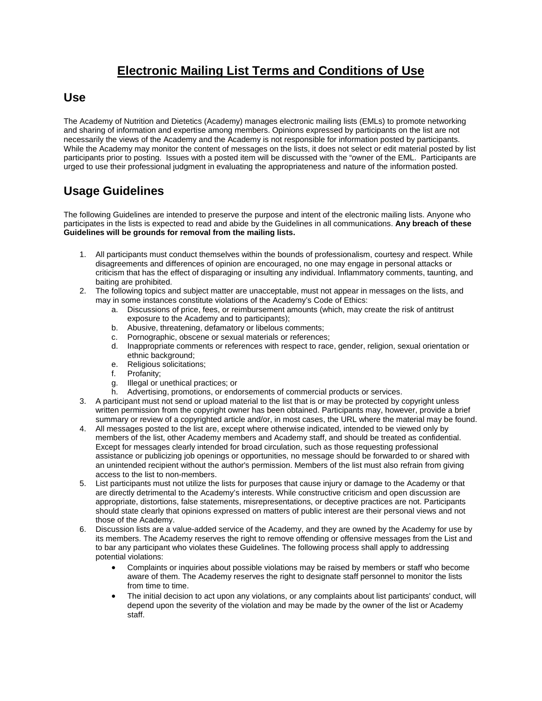## **Electronic Mailing List Terms and Conditions of Use**

## **Use**

The Academy of Nutrition and Dietetics (Academy) manages electronic mailing lists (EMLs) to promote networking and sharing of information and expertise among members. Opinions expressed by participants on the list are not necessarily the views of the Academy and the Academy is not responsible for information posted by participants. While the Academy may monitor the content of messages on the lists, it does not select or edit material posted by list participants prior to posting. Issues with a posted item will be discussed with the "owner of the EML. Participants are urged to use their professional judgment in evaluating the appropriateness and nature of the information posted.

## **Usage Guidelines**

The following Guidelines are intended to preserve the purpose and intent of the electronic mailing lists. Anyone who participates in the lists is expected to read and abide by the Guidelines in all communications. **Any breach of these Guidelines will be grounds for removal from the mailing lists.**

- 1. All participants must conduct themselves within the bounds of professionalism, courtesy and respect. While disagreements and differences of opinion are encouraged, no one may engage in personal attacks or criticism that has the effect of disparaging or insulting any individual. Inflammatory comments, taunting, and baiting are prohibited.
- 2. The following topics and subject matter are unacceptable, must not appear in messages on the lists, and may in some instances constitute violations of the Academy's Code of Ethics:
	- a. Discussions of price, fees, or reimbursement amounts (which, may create the risk of antitrust exposure to the Academy and to participants);
	- b. Abusive, threatening, defamatory or libelous comments;
	- c. Pornographic, obscene or sexual materials or references;
	- d. Inappropriate comments or references with respect to race, gender, religion, sexual orientation or ethnic background;
	- e. Religious solicitations;
	- Profanity;
	- g. Illegal or unethical practices; or
	- h. Advertising, promotions, or endorsements of commercial products or services.
- 3. A participant must not send or upload material to the list that is or may be protected by copyright unless written permission from the copyright owner has been obtained. Participants may, however, provide a brief summary or review of a copyrighted article and/or, in most cases, the URL where the material may be found.
- 4. All messages posted to the list are, except where otherwise indicated, intended to be viewed only by members of the list, other Academy members and Academy staff, and should be treated as confidential. Except for messages clearly intended for broad circulation, such as those requesting professional assistance or publicizing job openings or opportunities, no message should be forwarded to or shared with an unintended recipient without the author's permission. Members of the list must also refrain from giving access to the list to non-members.
- 5. List participants must not utilize the lists for purposes that cause injury or damage to the Academy or that are directly detrimental to the Academy's interests. While constructive criticism and open discussion are appropriate, distortions, false statements, misrepresentations, or deceptive practices are not. Participants should state clearly that opinions expressed on matters of public interest are their personal views and not those of the Academy.
- 6. Discussion lists are a value-added service of the Academy, and they are owned by the Academy for use by its members. The Academy reserves the right to remove offending or offensive messages from the List and to bar any participant who violates these Guidelines. The following process shall apply to addressing potential violations:
	- Complaints or inquiries about possible violations may be raised by members or staff who become aware of them. The Academy reserves the right to designate staff personnel to monitor the lists from time to time.
	- The initial decision to act upon any violations, or any complaints about list participants' conduct, will depend upon the severity of the violation and may be made by the owner of the list or Academy staff.